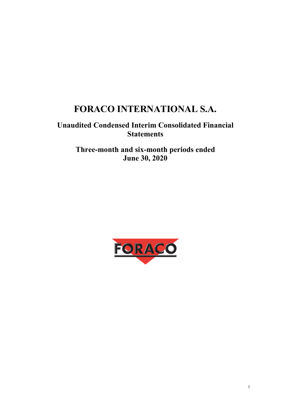# **FORACO INTERNATIONAL S.A.**

# **Unaudited Condensed Interim Consolidated Financial Statements**

**Three-month and six-month periods ended June 30, 2020** 

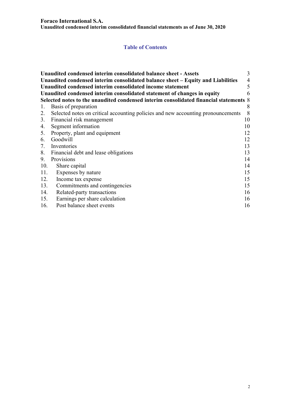#### **Foraco International S.A.**

**Unaudited condensed interim consolidated financial statements as of June 30, 2020** 

# **Table of Contents**

|     | Unaudited condensed interim consolidated balance sheet - Assets                       | 3  |
|-----|---------------------------------------------------------------------------------------|----|
|     | Unaudited condensed interim consolidated balance sheet – Equity and Liabilities       | 4  |
|     | Unaudited condensed interim consolidated income statement                             | 5  |
|     | Unaudited condensed interim consolidated statement of changes in equity               | 6  |
|     | Selected notes to the unaudited condensed interim consolidated financial statements 8 |    |
| 1.  | Basis of preparation                                                                  | 8  |
| 2.  | Selected notes on critical accounting policies and new accounting pronouncements      | 8  |
|     | 3. Financial risk management                                                          | 10 |
| 4.  | Segment information                                                                   | 10 |
|     | 5. Property, plant and equipment                                                      | 12 |
| 6.  | Goodwill                                                                              | 12 |
| 7.  | Inventories                                                                           | 13 |
|     | 8. Financial debt and lease obligations                                               | 13 |
| 9.  | Provisions                                                                            | 14 |
| 10. | Share capital                                                                         | 14 |
| 11. | Expenses by nature                                                                    | 15 |
| 12. | Income tax expense                                                                    | 15 |
| 13. | Commitments and contingencies                                                         | 15 |
| 14. | Related-party transactions                                                            | 16 |
| 15. | Earnings per share calculation                                                        | 16 |
| 16. | Post balance sheet events                                                             | 16 |
|     |                                                                                       |    |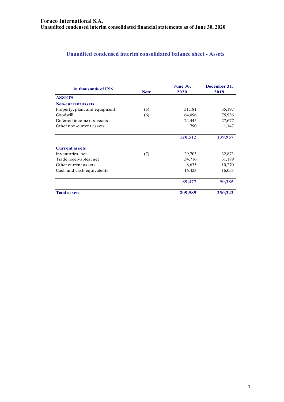# **Unaudited condensed interim consolidated balance sheet - Assets**

| in thousands of US\$          | <b>Note</b> | <b>June 30,</b><br>2020 | December 31,<br>2019 |
|-------------------------------|-------------|-------------------------|----------------------|
| <b>ASSETS</b>                 |             |                         |                      |
| <b>Non-current assets</b>     |             |                         |                      |
| Property, plant and equipment | (5)         | 31,181                  | 35,197               |
| Goodwill                      | (6)         | 64,096                  | 75,936               |
| Deferred income tax assets    |             | 24,445                  | 27,677               |
| Other non-current assets      |             | 790                     | 1,147                |
|                               |             | 120,512                 | 139,957              |
| <b>Current assets</b>         |             |                         |                      |
| Inventories, net              | (7)         | 29,703                  | 32,873               |
| Trade receivables, net        |             | 34,716                  | 31,189               |
| Other current assets          |             | 8,635                   | 10,270               |
| Cash and cash equivalents     |             | 16,423                  | 16,053               |
|                               |             | 89,477                  | 90,385               |
| <b>Total assets</b>           |             | 209,989                 | 230,342              |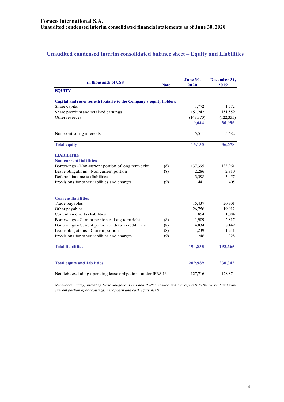# **Unaudited condensed interim consolidated balance sheet – Equity and Liabilities**

| in thousands of US\$                                              | <b>Note</b> | <b>June 30,</b><br>2020 | December 31,<br>2019 |
|-------------------------------------------------------------------|-------------|-------------------------|----------------------|
| <b>EQUITY</b>                                                     |             |                         |                      |
| Capital and reserves attributable to the Company's equity holders |             |                         |                      |
| Share capital                                                     |             | 1,772                   | 1,772                |
| Share premium and retained earnings                               |             | 151,242                 | 151,559              |
| Other reserves                                                    |             | (143,370)               | (122, 335)           |
|                                                                   |             | 9,644                   | 30,996               |
| Non-controlling interests                                         |             | 5,511                   | 5,682                |
| <b>Total equity</b>                                               |             | 15,155                  | 36,678               |
| <b>LIABILITIES</b>                                                |             |                         |                      |
| <b>Non-current liabilities</b>                                    |             |                         |                      |
| Borrowings - Non-current portion of long term debt                | (8)         | 137,395                 | 133,961              |
| Lease obligations - Non current portion                           | (8)         | 2,286                   | 2,910                |
| Deferred income tax liabilities                                   |             | 3,398                   | 3,457                |
| Provisions for other liabilities and charges                      | (9)         | 441                     | 405                  |
| <b>Current liabilities</b>                                        |             |                         |                      |
| Trade payables                                                    |             | 15,437                  | 20,301               |
| Other payables                                                    |             | 26,756                  | 19,012               |
| Current income tax liabilities                                    |             | 894                     | 1,084                |
| Borrowings - Current portion of long term debt                    | (8)         | 1,909                   | 2,817                |
| Borrowings - Current portion of drawn credit lines                | (8)         | 4,834                   | 8,149                |
| Lease obligations - Current portion                               | (8)         | 1,239                   | 1,241                |
| Provisions for other liabilities and charges                      | (9)         | 246                     | 328                  |
| <b>Total liabilities</b>                                          |             | 194,835                 | 193,665              |
| <b>Total equity and liabilities</b>                               |             | 209,989                 | 230,342              |
| Net debt excluding operating lease obligations under IFRS 16      |             | 127,716                 | 128,874              |

*Net debt excluding operating lease obligations is a non IFRS measure and corresponds to the current and noncurrent portion of borrowings, net of cash and cash equivalents*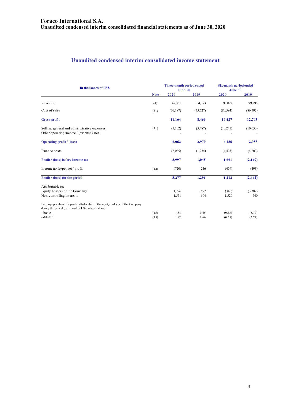# **Unaudited condensed interim consolidated income statement**

| In thousands of US\$                                                                                                                    |             | Three-month period ended<br><b>June 30,</b> |            | Six-month period ended<br><b>June 30,</b> |                |
|-----------------------------------------------------------------------------------------------------------------------------------------|-------------|---------------------------------------------|------------|-------------------------------------------|----------------|
|                                                                                                                                         | <b>Note</b> | 2020                                        | 2019       | 2020                                      | 2019           |
| Revenue                                                                                                                                 | (4)         | 47,351                                      | 54,093     | 97,022                                    | 99,295         |
| Cost of sales                                                                                                                           | (11)        | (36, 187)                                   | (45,627)   | (80, 594)                                 | (86, 592)      |
| Gross profit                                                                                                                            |             | 11,164                                      | 8,466      | 16,427                                    | 12,703         |
| Selling, general and administrative expenses<br>Other operating income / (expense), net                                                 | (11)        | (5,102)                                     | (5,487)    | (10,241)                                  | (10,650)       |
| <b>Operating profit / (loss)</b>                                                                                                        |             | 6,062                                       | 2,979      | 6,186                                     | 2,053          |
| Finance costs                                                                                                                           |             | (2,065)                                     | (1,934)    | (4,495)                                   | (4,202)        |
| Profit / (loss) before income tax                                                                                                       |             | 3,997                                       | 1,045      | 1,691                                     | (2,149)        |
| Income $\text{tax}$ (expense) / profit                                                                                                  | (12)        | (720)                                       | 246        | (479)                                     | (493)          |
| Profit / (loss) for the period                                                                                                          |             | 3,277                                       | 1,291      | 1,212                                     | (2,642)        |
| Attributable to:<br>Equity holders of the Company<br>Non-controlling interests                                                          |             | 1,726<br>1,551                              | 597<br>694 | (316)<br>1,529                            | (3,382)<br>740 |
| Earnings per share for profit attributable to the equity holders of the Company<br>during the period (expressed in US cents per share): |             |                                             |            |                                           |                |
| - basic                                                                                                                                 | (15)        | 1.88                                        | 0.66       | (0.35)                                    | (3.77)         |
| - diluted                                                                                                                               | (15)        | 1.92                                        | 0.66       | (0.35)                                    | (3.77)         |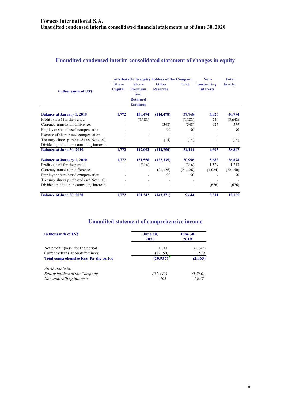# **Unaudited condensed interim consolidated statement of changes in equity**

|                                            | <b>Attributable to equity holders of the Company</b> |                                                                      |                                 |              | Non-                            | <b>Total</b> |
|--------------------------------------------|------------------------------------------------------|----------------------------------------------------------------------|---------------------------------|--------------|---------------------------------|--------------|
| in thousands of USS                        | <b>Share</b><br>Capital                              | <b>Share</b><br>Premium<br>and<br><b>Retained</b><br><b>Earnings</b> | <b>Other</b><br><b>Reserves</b> | <b>Total</b> | controlling<br><i>interests</i> | Equity       |
| <b>Balance at January 1, 2019</b>          | 1,772                                                | 150,474                                                              | (114, 478)                      | 37,768       | 3,026                           | 40,794       |
| Profit $/$ (loss) for the period           |                                                      | (3,382)                                                              |                                 | (3,382)      | 740                             | (2,642)      |
| Currency translation differences           |                                                      |                                                                      | (348)                           | (348)        | 927                             | 579          |
| Employee share-based compensation          |                                                      |                                                                      | 90                              | 90           |                                 | 90           |
| Exercise of share-based compensation       |                                                      |                                                                      |                                 |              |                                 |              |
| Treasury shares purchased (see Note 10)    |                                                      |                                                                      | (14)                            | (14)         |                                 | (14)         |
| Dividend paid to non controlling interests |                                                      |                                                                      |                                 |              |                                 |              |
| <b>Balance at June 30, 2019</b>            | 1,772                                                | 147,092                                                              | (114,750)                       | 34,114       | 4,693                           | 38,807       |
| <b>Balance at January 1, 2020</b>          | 1,772                                                | 151,558                                                              | (122, 335)                      | 30,996       | 5,682                           | 36,678       |
| Profit $/$ (loss) for the period           |                                                      | (316)                                                                |                                 | (316)        | 1,529                           | 1,213        |
| Currency translation differences           |                                                      | $\overline{\phantom{a}}$                                             | (21, 126)                       | (21, 126)    | (1,024)                         | (22, 150)    |
| Employee share-based compensation          |                                                      |                                                                      | 90                              | 90           |                                 | 90           |
| Treasury shares purchased (see Note 10)    |                                                      |                                                                      |                                 |              |                                 |              |
| Dividend paid to non controlling interests |                                                      |                                                                      |                                 |              | (676)                           | (676)        |
| <b>Balance at June 30, 2020</b>            | 1,772                                                | 151,242                                                              | (143, 371)                      | 9,644        | 5,511                           | 15,155       |

# **Unaudited statement of comprehensive income**

| in thousands of US\$                    | <b>June 30,</b><br>2020 | <b>June 30,</b><br>2019 |
|-----------------------------------------|-------------------------|-------------------------|
| Net profit $/$ (loss) for the period    | 1,213                   | (2,642)                 |
| Currency translation differences        | (22, 150)               | 579                     |
| Total comprehensive loss for the period | (20.937)                | (2,063)                 |
| Attributable to:                        |                         |                         |
| Equity holders of the Company           | (21, 442)               | (3,730)                 |
| Non-controlling interests               | 505                     | 1,667                   |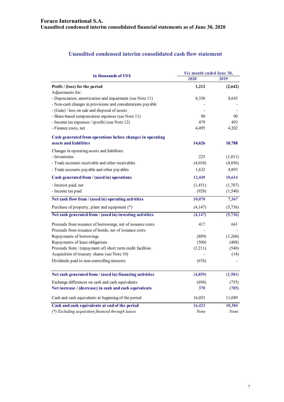# **Unaudited condensed interim consolidated cash flow statement**

| in thousands of US\$                                        | Six month ended June 30, |          |
|-------------------------------------------------------------|--------------------------|----------|
|                                                             | 2020                     | 2019     |
| Profit / (loss) for the period                              | 1,212                    | (2,642)  |
| Adjustments for:                                            |                          |          |
| - Depreciation, amortization and impairment (see Note 11)   | 8,350                    | 8,645    |
| - Non-cash changes in provisions and considerations payable |                          |          |
| - (Gain) / loss on sale and disposal of assets              |                          |          |
| - Share-based compensation expenses (see Note 11)           | 90                       | 90       |
| - Income tax expenses / (profit) (see Note 12)              | 479                      | 493      |
| - Finance costs, net                                        | 4,495                    | 4,202    |
| Cash generated from operations before changes in operating  |                          |          |
| assets and liabilities                                      | 14,626                   | 10,788   |
| Changes in operating assets and liabilities:                |                          |          |
| - Inventories                                               | 225                      | (1,011)  |
| - Trade accounts receivable and other receivables           | (4,034)                  | (4,056)  |
| - Trade accounts payable and other payables                 | 1,632                    | 4,893    |
| Cash generated from / (used in) operations                  | 12,449                   | 10,614   |
| - Interest paid, net                                        | (1, 451)                 | (1,707)  |
| - Income tax paid                                           | (928)                    | (1, 540) |
| Net cash flow from / (used in) operating activities         | 10,070                   | 7,367    |
| Purchase of property, plant and equipment (*)               | (4,147)                  | (5,736)  |
| Net cash generated from / (used in) investing activities    | (4,147)                  | (5, 736) |
| Proceeds from issuance of borrowings, net of issuance costs | 417                      | 641      |
| Proceeds from issuance of bonds, net of issuance costs      |                          |          |
| Repayments of borrowings                                    | (889)                    | (1,260)  |
| Repayments of lease obligations                             | (500)                    | (408)    |
| Proceeds from / (repayment of) short term credit facilities | (3,211)                  | (540)    |
| Acquisition of treasury shares (see Note 10)                |                          | (14)     |
| Dividends paid to non-controlling interests                 | (676)                    |          |
| Net cash generated from / (used in) financing activities    | (4,859)                  | (1,581)  |
|                                                             |                          |          |
| Exchange differences on cash and cash equivalents           | (694)                    | (755)    |
| Net increase / (decrease) in cash and cash equivalents      | 370                      | (705)    |
| Cash and cash equivalents at beginning of the period        | 16,053                   | 11,089   |
| Cash and cash equivalents at end of the period              | 16,423                   | 10,384   |
| (*) Excluding acquisition financed through leases           | None                     | None     |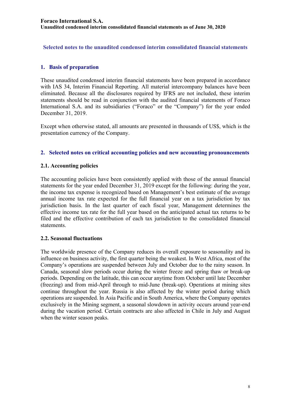**Selected notes to the unaudited condensed interim consolidated financial statements** 

## **1. Basis of preparation**

These unaudited condensed interim financial statements have been prepared in accordance with IAS 34, Interim Financial Reporting. All material intercompany balances have been eliminated. Because all the disclosures required by IFRS are not included, these interim statements should be read in conjunction with the audited financial statements of Foraco International S.A. and its subsidiaries ("Foraco" or the "Company") for the year ended December 31, 2019.

Except when otherwise stated, all amounts are presented in thousands of US\$, which is the presentation currency of the Company.

#### **2. Selected notes on critical accounting policies and new accounting pronouncements**

#### **2.1. Accounting policies**

The accounting policies have been consistently applied with those of the annual financial statements for the year ended December 31, 2019 except for the following: during the year, the income tax expense is recognized based on Management's best estimate of the average annual income tax rate expected for the full financial year on a tax jurisdiction by tax jurisdiction basis. In the last quarter of each fiscal year, Management determines the effective income tax rate for the full year based on the anticipated actual tax returns to be filed and the effective contribution of each tax jurisdiction to the consolidated financial statements.

#### **2.2. Seasonal fluctuations**

The worldwide presence of the Company reduces its overall exposure to seasonality and its influence on business activity, the first quarter being the weakest. In West Africa, most of the Company's operations are suspended between July and October due to the rainy season. In Canada, seasonal slow periods occur during the winter freeze and spring thaw or break-up periods. Depending on the latitude, this can occur anytime from October until late December (freezing) and from mid-April through to mid-June (break-up). Operations at mining sites continue throughout the year. Russia is also affected by the winter period during which operations are suspended. In Asia Pacific and in South America, where the Company operates exclusively in the Mining segment, a seasonal slowdown in activity occurs around year-end during the vacation period. Certain contracts are also affected in Chile in July and August when the winter season peaks.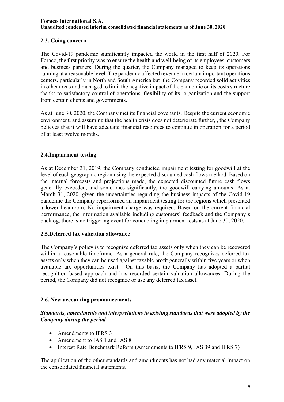# **2.3. Going concern**

The Covid-19 pandemic significantly impacted the world in the first half of 2020. For Foraco, the first priority was to ensure the health and well-being of its employees, customers and business partners. During the quarter, the Company managed to keep its operations running at a reasonable level. The pandemic affected revenue in certain important operations centers, particularly in North and South America but the Company recorded solid activities in other areas and managed to limit the negative impact of the pandemic on its costs structure thanks to satisfactory control of operations, flexibility of its organization and the support from certain clients and governments.

As at June 30, 2020, the Company met its financial covenants. Despite the current economic environment, and assuming that the health crisis does not deteriorate further, , the Company believes that it will have adequate financial resources to continue in operation for a period of at least twelve months.

## **2.4.Impairment testing**

As at December 31, 2019, the Company conducted impairment testing for goodwill at the level of each geographic region using the expected discounted cash flows method. Based on the internal forecasts and projections made, the expected discounted future cash flows generally exceeded, and sometimes significantly, the goodwill carrying amounts. As at March 31, 2020, given the uncertainties regarding the business impacts of the Covid-19 pandemic the Company reperformed an impairment testing for the regions which presented a lower headroom. No impairment charge was required. Based on the current financial performance, the information available including customers' feedback and the Company's backlog, there is no triggering event for conducting impairment tests as at June 30, 2020.

#### **2.5.Deferred tax valuation allowance**

The Company's policy is to recognize deferred tax assets only when they can be recovered within a reasonable timeframe. As a general rule, the Company recognizes deferred tax assets only when they can be used against taxable profit generally within five years or when available tax opportunities exist. On this basis, the Company has adopted a partial recognition based approach and has recorded certain valuation allowances. During the period, the Company did not recognize or use any deferred tax asset.

#### **2.6. New accounting pronouncements**

#### *Standards, amendments and interpretations to existing standards that were adopted by the Company during the period*

- Amendments to IFRS 3
- Amendment to IAS 1 and IAS 8
- Interest Rate Benchmark Reform (Amendments to IFRS 9, IAS 39 and IFRS 7)

The application of the other standards and amendments has not had any material impact on the consolidated financial statements.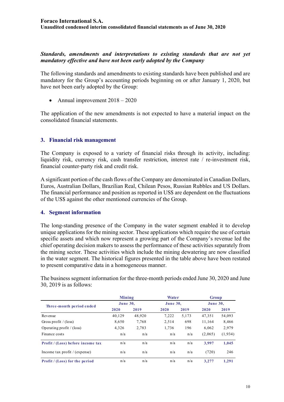#### *Standards, amendments and interpretations to existing standards that are not yet mandatory effective and have not been early adopted by the Company*

The following standards and amendments to existing standards have been published and are mandatory for the Group's accounting periods beginning on or after January 1, 2020, but have not been early adopted by the Group:

• Annual improvement  $2018 - 2020$ 

The application of the new amendments is not expected to have a material impact on the consolidated financial statements.

## **3. Financial risk management**

The Company is exposed to a variety of financial risks through its activity, including: liquidity risk, currency risk, cash transfer restriction, interest rate / re-investment risk, financial counter-party risk and credit risk.

A significant portion of the cash flows of the Company are denominated in Canadian Dollars, Euros, Australian Dollars, Brazilian Real, Chilean Pesos, Russian Rubbles and US Dollars. The financial performance and position as reported in US\$ are dependent on the fluctuations of the US\$ against the other mentioned currencies of the Group.

#### **4. Segment information**

The long-standing presence of the Company in the water segment enabled it to develop unique applications for the mining sector. These applications which require the use of certain specific assets and which now represent a growing part of the Company's revenue led the chief operating decision makers to assess the performance of these activities separately from the mining sector. These activities which include the mining dewatering are now classified in the water segment. The historical figures presented in the table above have been restated to present comparative data in a homogeneous manner.

The business segment information for the three-month periods ended June 30, 2020 and June 30, 2019 is as follows:

|                                       | Mining<br>June 30, |        | <b>Water</b> |       | Group    |         |
|---------------------------------------|--------------------|--------|--------------|-------|----------|---------|
| Three-month period ended              |                    |        | June 30,     |       | June 30, |         |
|                                       | 2020               | 2019   | 2020         | 2019  | 2020     | 2019    |
| Revenue                               | 40,129             | 48,920 | 7,222        | 5,173 | 47,351   | 54,093  |
| Gross profit / (loss)                 | 8,650              | 7,768  | 2,514        | 698   | 11,164   | 8,466   |
| Operating profit $/(loss)$            | 4,326              | 2,783  | 1,736        | 196   | 6,062    | 2,979   |
| Finance costs                         | n/a                | n/a    | n/a          | n/a   | (2,065)  | (1,934) |
| Profit / (Loss) before income tax     | n/a                | n/a    | n/a          | n/a   | 3.997    | 1,045   |
| Income tax profit $/$ (expense)       | n/a                | n/a    | n/a          | n/a   | (720)    | 246     |
| <b>Profit</b> / (Loss) for the period | n/a                | n/a    | n/a          | n/a   | 3,277    | 1.291   |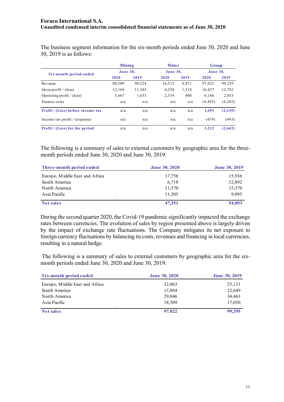The business segment information for the six-month periods ended June 30, 2020 and June 30, 2019 is as follows:

|                                       | Mining<br><b>June 30,</b> |        | <b>Water</b> |       | <b>Group</b> |         |
|---------------------------------------|---------------------------|--------|--------------|-------|--------------|---------|
|                                       |                           |        | June 30,     |       | June 30,     |         |
| Six-month period ended                | 2020                      | 2019   | 2020         | 2019  | 2020         | 2019    |
| Revenue                               | 80,509                    | 90,324 | 16,513       | 8,971 | 97,022       | 99,295  |
| Gross profit / $(\text{loss})$        | 12.169                    | 11,385 | 4,258        | 1,318 | 16,427       | 12,703  |
| Operating profit $/$ (loss)           | 3,667                     | 1.653  | 2,519        | 400   | 6.186        | 2,053   |
| Finance costs                         | n/a                       | n/a    | n/a          | n/a   | (4, 495)     | (4,202) |
| Profit / (Loss) before income tax     | n/a                       | n/a    | n/a          | n/a   | 1.691        | (2,149) |
| Income tax profit / (expense)         | n/a                       | n/a    | n/a          | n/a   | (479)        | (493)   |
| <b>Profit</b> / (Loss) for the period | n/a                       | n/a    | n/a          | n/a   | 1,212        | (2,642) |

The following is a summary of sales to external customers by geographic area for the threemonth periods ended June 30, 2020 and June 30, 2019:

| Three-month period ended       | <b>June 30, 2020</b> | <b>June 30, 2019</b> |
|--------------------------------|----------------------|----------------------|
| Europe, Middle East and Africa | 17,758               | 15,936               |
| South America                  | 6,718                | 12,892               |
| North America                  | 11,570               | 15,370               |
| Asia Pacific                   | 11.305               | 9,895                |
| <b>Net sales</b>               | 47,351               | 54,093               |

During the second quarter 2020, the Covid-19 pandemic significantly impacted the exchange rates between currencies. The evolution of sales by region presented above is largely driven by the impact of exchange rate fluctuations. The Company mitigates its net exposure to foreign currency fluctuations by balancing its costs, revenues and financing in local currencies, resulting in a natural hedge.

 The following is a summary of sales to external customers by geographic area for the sixmonth periods ended June 30, 2020 and June 30, 2019:

| Six-month period ended         | <b>June 30, 2020</b> | <b>June 30, 2019</b> |
|--------------------------------|----------------------|----------------------|
| Europe, Middle East and Africa | 32,863               | 25,133               |
| South America                  | 15,804               | 22,649               |
| North America                  | 29,846               | 34,463               |
| Asia Pacific                   | 18,509               | 17,050               |
| <b>Net sales</b>               | 97,022               | 99,295               |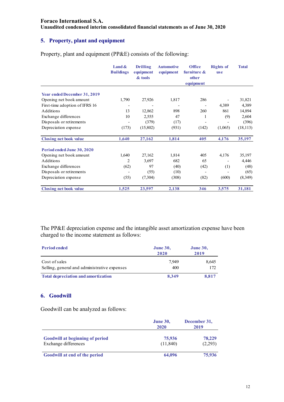# **5. Property, plant and equipment**

Property, plant and equipment (PP&E) consists of the following:

|                                     | Land $\&$<br><b>Buildings</b> | <b>Drilling</b><br>equipment<br>& tools | <b>Automotive</b><br>equipment | <b>Office</b><br>furniture $\&$<br>other<br>equipment | <b>Rights of</b><br><b>use</b> | <b>Total</b> |
|-------------------------------------|-------------------------------|-----------------------------------------|--------------------------------|-------------------------------------------------------|--------------------------------|--------------|
|                                     |                               |                                         |                                |                                                       |                                |              |
| <b>Year ended December 31, 2019</b> |                               |                                         |                                | 286                                                   |                                |              |
| Opening net book amount             | 1,790                         | 27,926                                  | 1,817                          |                                                       |                                | 31,821       |
| First-time adoption of IFRS 16      | $\overline{\phantom{a}}$      |                                         |                                |                                                       | 4,389                          | 4,389        |
| Additions                           | 13                            | 12,862                                  | 898                            | 260                                                   | 861                            | 14,894       |
| Exchange differences                | 10                            | 2,555                                   | 47                             | 1                                                     | (9)                            | 2,604        |
| Disposals or retirements            |                               | (379)                                   | (17)                           |                                                       |                                | (396)        |
| Depreciation expense                | (173)                         | (15,802)                                | (931)                          | (142)                                                 | (1,065)                        | (18, 113)    |
| <b>Closing net book value</b>       | 1,640                         | 27,162                                  | 1,814                          | 405                                                   | 4,176                          | 35,197       |
| Period ended June 30, 2020          |                               |                                         |                                |                                                       |                                |              |
| Opening net book amount             | 1,640                         | 27,162                                  | 1,814                          | 405                                                   | 4,176                          | 35,197       |
| Additions                           | 2                             | 3,697                                   | 682                            | 65                                                    |                                | 4,446        |
| Exchange differences                | (62)                          | 97                                      | (40)                           | (42)                                                  | (1)                            | (48)         |
| Disposals or retirements            |                               | (55)                                    | (10)                           | $\overline{\phantom{a}}$                              |                                | (65)         |
| Depreciation expense                | (55)                          | (7,304)                                 | (308)                          | (82)                                                  | (600)                          | (8,349)      |
| <b>Closing net book value</b>       | 1,525                         | 23,597                                  | 2,138                          | 346                                                   | 3,575                          | 31,181       |

The PP&E depreciation expense and the intangible asset amortization expense have been charged to the income statement as follows:

| <b>Period ended</b>                                           | <b>June 30,</b><br>2020 | <b>June 30,</b><br>2019 |  |
|---------------------------------------------------------------|-------------------------|-------------------------|--|
| Cost of sales<br>Selling, general and administrative expenses | 7.949<br>400            | 8,645<br>172            |  |
| <b>Total depreciation and amortization</b>                    | 8.349                   | 8.817                   |  |

#### **6. Goodwill**

Goodwill can be analyzed as follows:

|                                                                | <b>June 30,</b><br>2020 | December 31,<br>2019 |  |
|----------------------------------------------------------------|-------------------------|----------------------|--|
| <b>Goodwill at beginning of period</b><br>Exchange differences | 75,936<br>(11, 840)     | 78,229<br>(2,293)    |  |
| Goodwill at end of the period                                  | 64,096                  | 75,936               |  |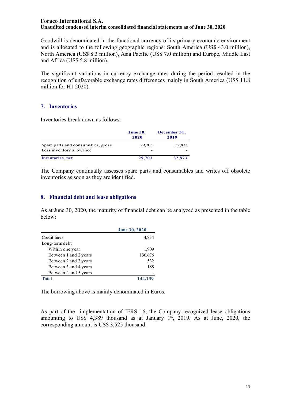Goodwill is denominated in the functional currency of its primary economic environment and is allocated to the following geographic regions: South America (US\$ 43.0 million), North America (US\$ 8.3 million), Asia Pacific (US\$ 7.0 million) and Europe, Middle East and Africa (US\$ 5.8 million).

The significant variations in currency exchange rates during the period resulted in the recognition of unfavorable exchange rates differences mainly in South America (US\$ 11.8 million for H1 2020).

#### **7. Inventories**

Inventories break down as follows:

|                                                                | <b>June 30,</b><br>2020 | December 31,<br>2019 |
|----------------------------------------------------------------|-------------------------|----------------------|
| Spare parts and consumables, gross<br>Less inventory allowance | 29,703                  | 32,873               |
| <b>Inventories</b> , net                                       | 29,703                  | 32,873               |

The Company continually assesses spare parts and consumables and writes off obsolete inventories as soon as they are identified.

#### **8. Financial debt and lease obligations**

As at June 30, 2020, the maturity of financial debt can be analyzed as presented in the table below:

|                       | <b>June 30, 2020</b> |
|-----------------------|----------------------|
| Credit lines          | 4,834                |
| Long-term debt        |                      |
| Within one year       | 1,909                |
| Between 1 and 2 years | 136,676              |
| Between 2 and 3 years | 532                  |
| Between 3 and 4 years | 188                  |
| Between 4 and 5 years |                      |
| <b>Total</b>          | 144,139              |

The borrowing above is mainly denominated in Euros.

As part of the implementation of IFRS 16, the Company recognized lease obligations amounting to US\$ 4,389 thousand as at January  $1<sup>st</sup>$ , 2019. As at June, 2020, the corresponding amount is US\$ 3,525 thousand.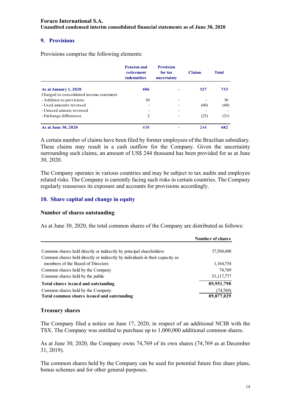#### **9. Provisions**

Provisions comprise the following elements:

|                                          | <b>Pension and</b><br>retirement<br><i>indemnities</i> | <b>Provision</b><br>for tax<br>uncertainty | <b>Claims</b> | <b>Total</b> |
|------------------------------------------|--------------------------------------------------------|--------------------------------------------|---------------|--------------|
| As at January 1, 2020                    | 406                                                    |                                            | 327           | 733          |
| Charged to consolidated income statement |                                                        |                                            |               |              |
| - Addition to provisions                 | 30                                                     | ٠                                          |               | 30           |
| - Used amounts reversed                  | $\qquad \qquad$                                        |                                            | (60)          | (60)         |
| - Unused amouts reversed                 |                                                        | ٠                                          |               |              |
| - Exchange differences                   | 2                                                      |                                            | (23)          | (21)         |
| As at June 30, 2020                      | 438                                                    |                                            | 244           | 682          |

A certain number of claims have been filed by former employees of the Brazilian subsidiary. These claims may result in a cash outflow for the Company. Given the uncertainty surrounding such claims, an amount of US\$ 244 thousand has been provided for as at June 30, 2020.

The Company operates in various countries and may be subject to tax audits and employee related risks. The Company is currently facing such risks in certain countries. The Company regularly reassesses its exposure and accounts for provisions accordingly.

#### **10. Share capital and change in equity**

#### **Number of shares outstanding**

As at June 30, 2020, the total common shares of the Company are distributed as follows:

|                                                                               | Number of shares |
|-------------------------------------------------------------------------------|------------------|
| Common shares held directly or indirectly by principal shareholders           | 37,594,498       |
| Common shares held directly or indirectly by individuals in their capacity as |                  |
| members of the Board of Directors                                             | 1,164,754        |
| Common shares held by the Company                                             | 74.769           |
| Common shares held by the public                                              | 51,117,777       |
| Total shares issued and outstanding                                           | 89,951,798       |
| Common shares held by the Company                                             | (74,769)         |
| Total common shares issued and outstanding                                    | 89,877,029       |

#### **Treasury shares**

The Company filed a notice on June 17, 2020, in respect of an additional NCIB with the TSX. The Company was entitled to purchase up to 1,000,000 additional common shares.

As at June 30, 2020, the Company owns 74,769 of its own shares (74,769 as at December 31, 2019).

The common shares held by the Company can be used for potential future free share plans, bonus schemes and for other general purposes.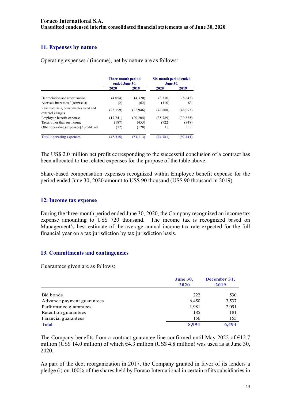# **11. Expenses by nature**

Operating expenses / (income), net by nature are as follows:

|                                                         | <b>Three-month period</b><br>ended June 30, |           | Six-month period ended<br><b>June 30.</b> |           |
|---------------------------------------------------------|---------------------------------------------|-----------|-------------------------------------------|-----------|
|                                                         | 2020                                        | 2019      | 2020                                      | 2019      |
| Depreciation and amortization                           | (4,054)                                     | (4,320)   | (8,350)                                   | (8,645)   |
| Accruals increases / (reversals)                        | (2)                                         | (62)      | (110)                                     | 63        |
| Raw materials, consumables used and<br>external charges | (23, 159)                                   | (25,946)  | (49,808)                                  | (48,093)  |
| Employee benefit expense                                | (17,741)                                    | (20, 204) | (35,789)                                  | (39, 835) |
| Taxes other than on income                              | (187)                                       | (453)     | (722)                                     | (848)     |
| Other operating (expenses) / profit, net                | (72)                                        | (128)     | 18                                        | 117       |
| <b>Total operating expenses</b>                         | (45,215)                                    | (51, 113) | (94,761)                                  | (97,241)  |

The US\$ 2.0 million net profit corresponding to the successful conclusion of a contract has been allocated to the related expenses for the purpose of the table above.

Share-based compensation expenses recognized within Employee benefit expense for the period ended June 30, 2020 amount to US\$ 90 thousand (US\$ 90 thousand in 2019).

#### **12. Income tax expense**

During the three-month period ended June 30, 2020, the Company recognized an income tax expense amounting to US\$ 720 thousand. The income tax is recognized based on Management's best estimate of the average annual income tax rate expected for the full financial year on a tax jurisdiction by tax jurisdiction basis.

#### **13. Commitments and contingencies**

Guarantees given are as follows:

|                            | <b>June 30,</b><br>2020 | December 31,<br>2019 |  |
|----------------------------|-------------------------|----------------------|--|
| Bid bonds                  | 222                     | 530                  |  |
| Advance payment guarantees | 6,450                   | 3,537                |  |
| Performance guarantees     | 1,981                   | 2,091                |  |
| Retention guarantees       | 185                     | 181                  |  |
| Financial guarantees       | 156                     | 155                  |  |
| <b>Total</b>               | 8,994                   | 6.494                |  |

The Company benefits from a contract guarantee line confirmed until May 2022 of  $E12.7$ million (US\$ 14.0 million) of which  $64.3$  million (US\$ 4.8 million) was used as at June 30, 2020.

As part of the debt reorganization in 2017, the Company granted in favor of its lenders a pledge (i) on 100% of the shares held by Foraco International in certain of its subsidiaries in